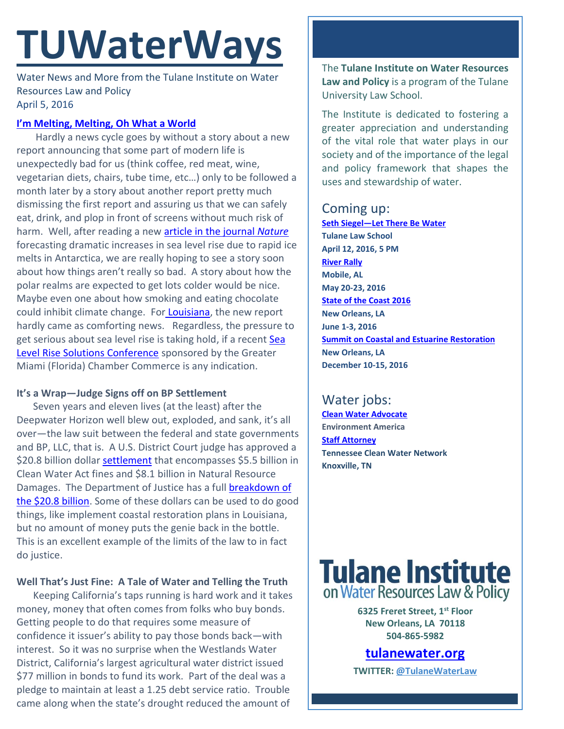## **TUWaterWays**

Water News and More from the Tulane Institute on Water Resources Law and Policy April 5, 2016

#### **[I'm Melting, Melting,](https://www.youtube.com/watch?v=GPO43kCh3_c) Oh What a World**

Hardly a news cycle goes by without a story about a new report announcing that some part of modern life is unexpectedly bad for us (think coffee, red meat, wine, vegetarian diets, chairs, tube time, etc…) only to be followed a month later by a story about another report pretty much dismissing the first report and assuring us that we can safely eat, drink, and plop in front of screens without much risk of harm. Well, after reading a new [article in the journal](http://www.nature.com/articles/nature17145.epdf) *Nature* forecasting dramatic increases in sea level rise due to rapid ice melts in Antarctica, we are really hoping to see a story soon about how things aren't really so bad. A story about how the polar realms are expected to get lots colder would be nice. Maybe even one about how smoking and eating chocolate could inhibit climate change. For [Louisiana,](http://www.nola.com/environment/index.ssf/2016/03/melting_antarctica_could_doubl.html) the new report hardly came as comforting news. Regardless, the pressure to get serious about sea level rise is taking hold, if a recent Sea [Level Rise Solutions Conference](http://time.com/4280796/white-house-climate-change-public-health/) sponsored by the Greater Miami (Florida) Chamber Commerce is any indication.

### **It's a Wrap—Judge Signs off on BP Settlement**

Seven years and eleven lives (at the least) after the Deepwater Horizon well blew out, exploded, and sank, it's all over—the law suit between the federal and state governments and BP, LLC, that is. A U.S. District Court judge has approved a \$20.8 billion dollar [settlement](http://www.eenews.net/assets/2016/04/04/document_pm_02.pdf) that encompasses \$5.5 billion in Clean Water Act fines and \$8.1 billion in Natural Resource Damages. The Department of Justice has a full [breakdown of](https://www.justice.gov/enrd/file/780311/download)  [the \\$20.8 billion.](https://www.justice.gov/enrd/file/780311/download) Some of these dollars can be used to do good things, like implement coastal restoration plans in Louisiana, but no amount of money puts the genie back in the bottle. This is an excellent example of the limits of the law to in fact do justice.

## **Well That's Just Fine: A Tale of Water and Telling the Truth**

Keeping California's taps running is hard work and it takes money, money that often comes from folks who buy bonds. Getting people to do that requires some measure of confidence it issuer's ability to pay those bonds back—with interest. So it was no surprise when the Westlands Water District, California's largest agricultural water district issued \$77 million in bonds to fund its work. Part of the deal was a pledge to maintain at least a 1.25 debt service ratio. Trouble came along when the state's drought reduced the amount of

The **Tulane Institute on Water Resources Law and Policy** is a program of the Tulane University Law School.

The Institute is dedicated to fostering a greater appreciation and understanding of the vital role that water plays in our society and of the importance of the legal and policy framework that shapes the uses and stewardship of water.

## Coming up:

**Seth Siegel—[Let There Be Water](http://media.wix.com/ugd/32079b_b13de15632d8485f9f1523e49cd922ea.pdf) Tulane Law School April 12, 2016, 5 PM [River Rally](https://www.rivernetwork.org/events-learning/river-rally/about/) Mobile, AL May 20-23, 2016 [State of the Coast 2016](http://stateofthecoast.org/) New Orleans, LA June 1-3, 2016 [Summit on Coastal and Estuarine Restoration](https://www.estuaries.org/images/NOLA_2016/2016-Summit-CFP_FINAL-011516.pdf) New Orleans, LA December 10-15, 2016**

## Water jobs:

**[Clean Water Advocate](http://jobs.environmentamerica.org/clean-water-advocate.html) Environment America [Staff Attorney](http://www.tcwn.org/job-opening-staff-attorney/) Tennessee Clean Water Network Knoxville, TN**

# **Tulane Institute**<br>on Water Resources Law & Policy

**6325 Freret Street, 1st Floor New Orleans, LA 70118 504-865-5982** 

**[tulanewater.org](file:///C:/Users/waterlaw/Downloads/tulanewater.org)**

**TWITTER: [@TulaneWaterLaw](http://www.twitter.com/TulaneWaterLaw)**